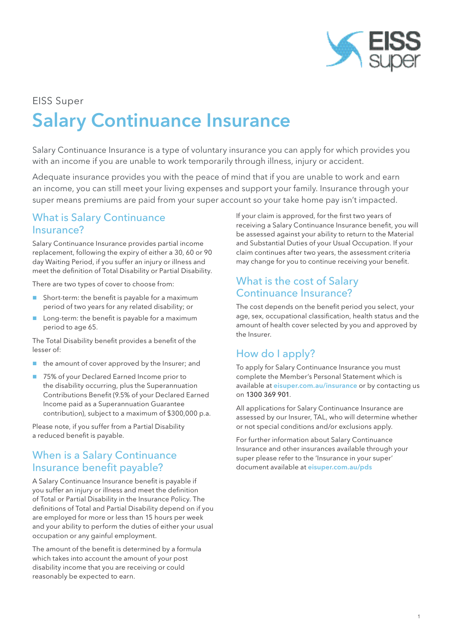

# EISS Super Salary Continuance Insurance

Salary Continuance Insurance is a type of voluntary insurance you can apply for which provides you with an income if you are unable to work temporarily through illness, injury or accident.

Adequate insurance provides you with the peace of mind that if you are unable to work and earn an income, you can still meet your living expenses and support your family. Insurance through your super means premiums are paid from your super account so your take home pay isn't impacted.

## What is Salary Continuance Insurance?

Salary Continuance Insurance provides partial income replacement, following the expiry of either a 30, 60 or 90 day Waiting Period, if you suffer an injury or illness and meet the definition of Total Disability or Partial Disability.

There are two types of cover to choose from:

- Short-term: the benefit is payable for a maximum period of two years for any related disability; or
- Long-term: the benefit is payable for a maximum period to age 65.

The Total Disability benefit provides a benefit of the lesser of:

- $\blacksquare$  the amount of cover approved by the Insurer; and
- 75% of your Declared Earned Income prior to the disability occurring, plus the Superannuation Contributions Benefit (9.5% of your Declared Earned Income paid as a Superannuation Guarantee contribution), subject to a maximum of \$300,000 p.a.

Please note, if you suffer from a Partial Disability a reduced benefit is payable.

#### When is a Salary Continuance Insurance benefit payable?

A Salary Continuance Insurance benefit is payable if you suffer an injury or illness and meet the definition of Total or Partial Disability in the Insurance Policy. The definitions of Total and Partial Disability depend on if you are employed for more or less than 15 hours per week and your ability to perform the duties of either your usual occupation or any gainful employment.

The amount of the benefit is determined by a formula which takes into account the amount of your post disability income that you are receiving or could reasonably be expected to earn.

If your claim is approved, for the first two years of receiving a Salary Continuance Insurance benefit, you will be assessed against your ability to return to the Material and Substantial Duties of your Usual Occupation. If your claim continues after two years, the assessment criteria may change for you to continue receiving your benefit.

### What is the cost of Salary Continuance Insurance?

The cost depends on the benefit period you select, your age, sex, occupational classification, health status and the amount of health cover selected by you and approved by the Insurer.

# How do I apply?

To apply for Salary Continuance Insurance you must complete the Member's Personal Statement which is available at *eisuper.com.au/insurance* or by contacting us on 1300 369 901.

All applications for Salary Continuance Insurance are assessed by our Insurer, TAL, who will determine whether or not special conditions and/or exclusions apply.

For further information about Salary Continuance Insurance and other insurances available through your super please refer to the 'Insurance in your super' document available at eisuper.com.au/pds